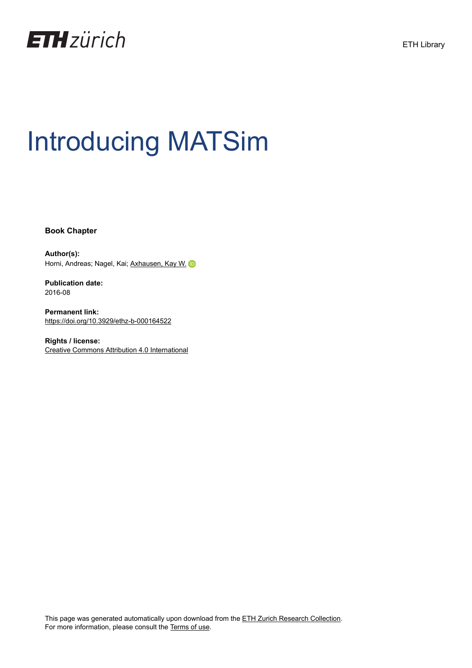

# Introducing MATSim

**Book Chapter**

**Author(s):** Horni, Andreas; Nagel, Kai; [Axhausen, Kay W.](https://orcid.org/0000-0003-3331-1318)

**Publication date:** 2016-08

**Permanent link:** <https://doi.org/10.3929/ethz-b-000164522>

**Rights / license:** [Creative Commons Attribution 4.0 International](http://creativecommons.org/licenses/by/4.0/)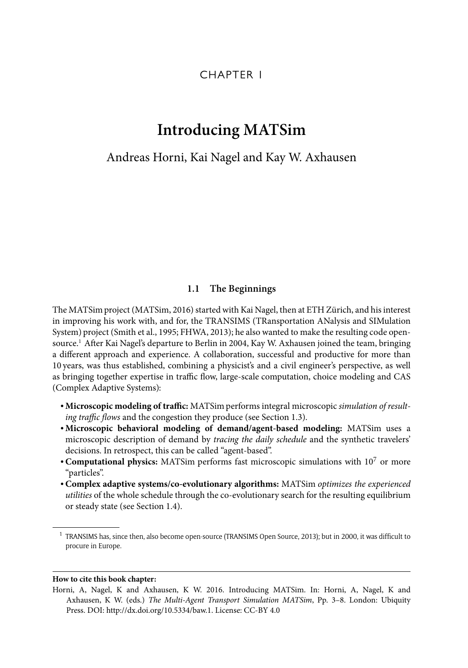## CHAPTER 1

# **Introducing MATSim**

## Andreas Horni, Kai Nagel and Kay W. Axhausen

#### **1.1 The Beginnings**

The MATSim project (MATSim, 2016) started with Kai Nagel, then at ETH Zürich, and his interest in improving his work with, and for, the TRANSIMS (TRansportation ANalysis and SIMulation System) project (Smith et al., 1995; FHWA, 2013); he also wanted to make the resulting code opensource.<sup>1</sup> After Kai Nagel's departure to Berlin in 2004, Kay W. Axhausen joined the team, bringing a different approach and experience. A collaboration, successful and productive for more than 10 years, was thus established, combining a physicist's and a civil engineer's perspective, as well as bringing together expertise in traffic flow, large-scale computation, choice modeling and CAS (Complex Adaptive Systems):

- Microscopic modeling of traffic: MATSim performs integral microscopic simulation of resulting traffic flows and the congestion they produce (see Section 1.3).
- **Microscopic behavioral modeling of demand/agent-based modeling:** MATSim uses a microscopic description of demand by tracing the daily schedule and the synthetic travelers' decisions. In retrospect, this can be called "agent-based".
- •**Computational physics:** MATSim performs fast microscopic simulations with 10<sup>7</sup> or more "particles".
- •**Complex adaptive systems/co-evolutionary algorithms:** MATSim optimizes the experienced utilities of the whole schedule through the co-evolutionary search for the resulting equilibrium or steady state (see Section 1.4).

#### **How to cite this book chapter:**

<sup>&</sup>lt;sup>1</sup> TRANSIMS has, since then, also become open-source (TRANSIMS Open Source, 2013); but in 2000, it was difficult to procure in Europe.

Horni, A, Nagel, K and Axhausen, K W. 2016. Introducing MATSim. In: Horni, A, Nagel, K and Axhausen, K W. (eds.) The Multi-Agent Transport Simulation MATSim, Pp. 3–8. London: Ubiquity Press. DOI: http://dx.doi.org/10.5334/baw.1. License: CC-BY 4.0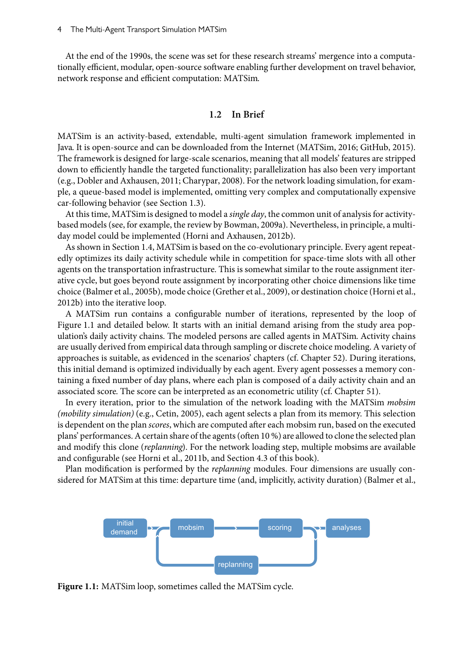At the end of the 1990s, the scene was set for these research streams' mergence into a computationally efficient, modular, open-source software enabling further development on travel behavior, network response and efficient computation: MATSim.

#### **1.2 In Brief**

MATSim is an activity-based, extendable, multi-agent simulation framework implemented in Java. It is open-source and can be downloaded from the Internet (MATSim, 2016; GitHub, 2015). The framework is designed for large-scale scenarios, meaning that all models' features are stripped down to efficiently handle the targeted functionality; parallelization has also been very important (e.g., Dobler and Axhausen, 2011; Charypar, 2008). For the network loading simulation, for example, a queue-based model is implemented, omitting very complex and computationally expensive car-following behavior (see Section 1.3).

At this time, MATSim is designed to model a *single day*, the common unit of analysis for activitybased models (see, for example, the review by Bowman, 2009a). Nevertheless, in principle, a multiday model could be implemented (Horni and Axhausen, 2012b).

As shown in Section 1.4, MATSim is based on the co-evolutionary principle. Every agent repeatedly optimizes its daily activity schedule while in competition for space-time slots with all other agents on the transportation infrastructure. This is somewhat similar to the route assignment iterative cycle, but goes beyond route assignment by incorporating other choice dimensions like time choice (Balmer et al., 2005b), mode choice (Grether et al., 2009), or destination choice (Horni et al., 2012b) into the iterative loop.

A MATSim run contains a configurable number of iterations, represented by the loop of Figure 1.1 and detailed below. It starts with an initial demand arising from the study area population's daily activity chains. The modeled persons are called agents in MATSim. Activity chains are usually derived from empirical data through sampling or discrete choice modeling. A variety of approaches is suitable, as evidenced in the scenarios' chapters (cf. Chapter 52). During iterations, this initial demand is optimized individually by each agent. Every agent possesses a memory containing a fixed number of day plans, where each plan is composed of a daily activity chain and an associated score. The score can be interpreted as an econometric utility (cf. Chapter 51).

In every iteration, prior to the simulation of the network loading with the MATSim mobsim (mobility simulation) (e.g., Cetin, 2005), each agent selects a plan from its memory. This selection is dependent on the plan *scores*, which are computed after each mobsim run, based on the executed plans' performances. A certain share of the agents (often 10 %) are allowed to clone the selected plan and modify this clone (replanning). For the network loading step, multiple mobsims are available and configurable (see Horni et al., 2011b, and Section 4.3 of this book).

Plan modification is performed by the *replanning* modules. Four dimensions are usually considered for MATSim at this time: departure time (and, implicitly, activity duration) (Balmer et al.,



**Figure 1.1:** MATSim loop, sometimes called the MATSim cycle.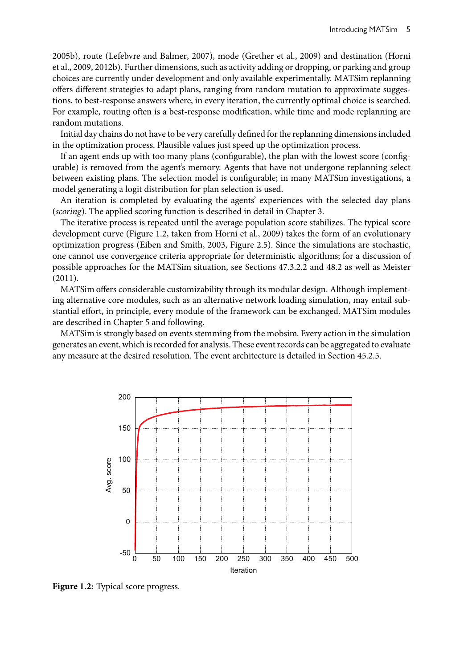2005b), route (Lefebvre and Balmer, 2007), mode (Grether et al., 2009) and destination (Horni et al., 2009, 2012b). Further dimensions, such as activity adding or dropping, or parking and group choices are currently under development and only available experimentally. MATSim replanning offers different strategies to adapt plans, ranging from random mutation to approximate suggestions, to best-response answers where, in every iteration, the currently optimal choice is searched. For example, routing often is a best-response modification, while time and mode replanning are random mutations.

Initial day chains do not have to be very carefully defined for the replanning dimensions included in the optimization process. Plausible values just speed up the optimization process.

If an agent ends up with too many plans (configurable), the plan with the lowest score (configurable) is removed from the agent's memory. Agents that have not undergone replanning select between existing plans. The selection model is configurable; in many MATSim investigations, a model generating a logit distribution for plan selection is used.

An iteration is completed by evaluating the agents' experiences with the selected day plans (scoring). The applied scoring function is described in detail in Chapter 3.

The iterative process is repeated until the average population score stabilizes. The typical score development curve (Figure 1.2, taken from Horni et al., 2009) takes the form of an evolutionary optimization progress (Eiben and Smith, 2003, Figure 2.5). Since the simulations are stochastic, one cannot use convergence criteria appropriate for deterministic algorithms; for a discussion of possible approaches for the MATSim situation, see Sections 47.3.2.2 and 48.2 as well as Meister (2011).

MATSim offers considerable customizability through its modular design. Although implementing alternative core modules, such as an alternative network loading simulation, may entail substantial effort, in principle, every module of the framework can be exchanged. MATSim modules are described in Chapter 5 and following.

MATSim is strongly based on events stemming from the mobsim. Every action in the simulation generates an event, which is recorded for analysis. These event records can be aggregated to evaluate any measure at the desired resolution. The event architecture is detailed in Section 45.2.5.



**Figure 1.2:** Typical score progress.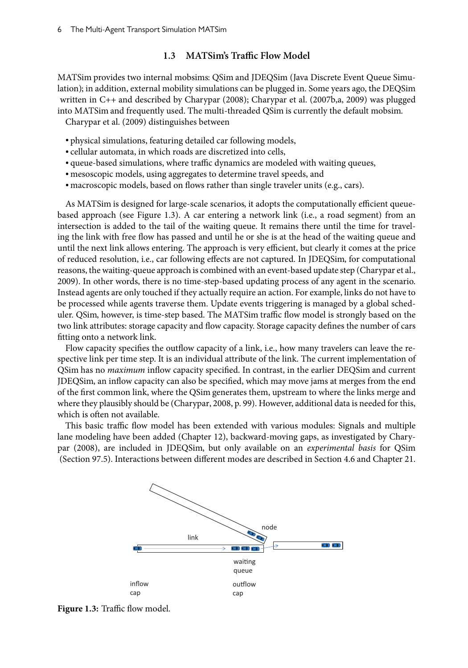#### **1.3 MATSim's Traffic Flow Model**

MATSim provides two internal mobsims: QSim and JDEQSim (Java Discrete Event Queue Simulation); in addition, external mobility simulations can be plugged in. Some years ago, the DEQSim written in C++ and described by Charypar (2008); Charypar et al. (2007b,a, 2009) was plugged into MATSim and frequently used. The multi-threaded QSim is currently the default mobsim. Charypar et al. (2009) distinguishes between

• physical simulations, featuring detailed car following models,

- cellular automata, in which roads are discretized into cells,
- queue-based simulations, where traffic dynamics are modeled with waiting queues,
- mesoscopic models, using aggregates to determine travel speeds, and
- macroscopic models, based on flows rather than single traveler units (e.g., cars).

As MATSim is designed for large-scale scenarios, it adopts the computationally efficient queuebased approach (see Figure 1.3). A car entering a network link (i.e., a road segment) from an intersection is added to the tail of the waiting queue. It remains there until the time for traveling the link with free flow has passed and until he or she is at the head of the waiting queue and until the next link allows entering. The approach is very efficient, but clearly it comes at the price of reduced resolution, i.e., car following effects are not captured. In JDEQSim, for computational reasons, the waiting-queue approach is combined with an event-based update step (Charypar et al., 2009). In other words, there is no time-step-based updating process of any agent in the scenario. Instead agents are only touched if they actually require an action. For example, links do not have to be processed while agents traverse them. Update events triggering is managed by a global scheduler. QSim, however, is time-step based. The MATSim traffic flow model is strongly based on the two link attributes: storage capacity and flow capacity. Storage capacity defines the number of cars fitting onto a network link.

Flow capacity specifies the outflow capacity of a link, i.e., how many travelers can leave the respective link per time step. It is an individual attribute of the link. The current implementation of QSim has no *maximum* inflow capacity specified. In contrast, in the earlier DEQSim and current JDEQSim, an inflow capacity can also be specified, which may move jams at merges from the end of the first common link, where the QSim generates them, upstream to where the links merge and where they plausibly should be (Charypar, 2008, p. 99). However, additional data is needed for this, which is often not available.

This basic traffic flow model has been extended with various modules: Signals and multiple lane modeling have been added (Chapter 12), backward-moving gaps, as investigated by Charypar (2008), are included in JDEQSim, but only available on an experimental basis for QSim (Section 97.5). Interactions between different modes are described in Section 4.6 and Chapter 21.



Figure 1.3: Traffic flow model.